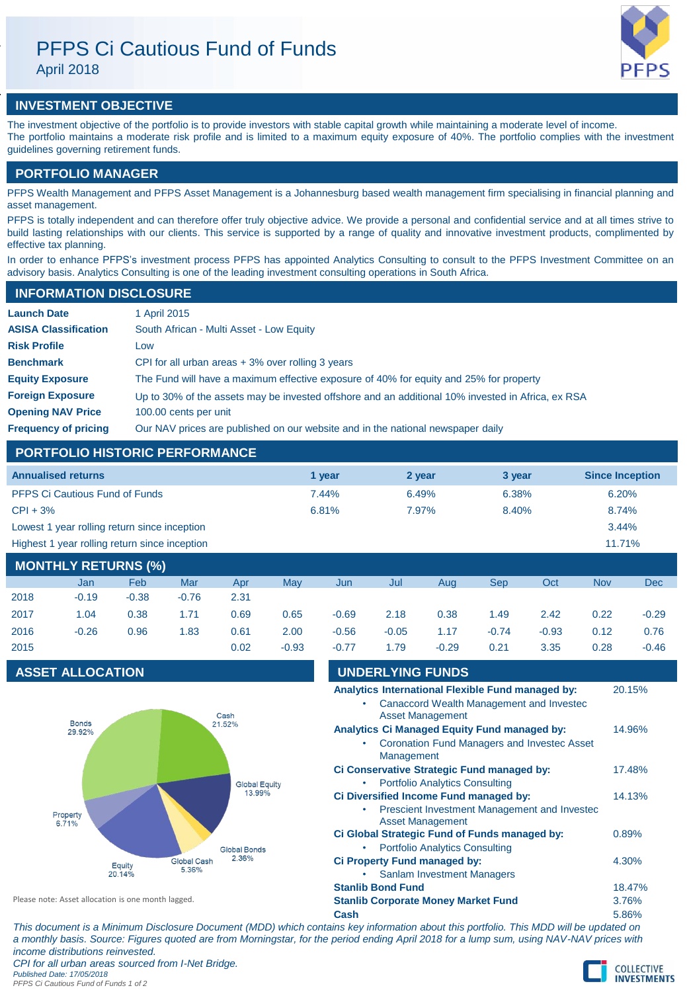# PFPS Ci Cautious Fund of Funds April 2018



# **INVESTMENT OBJECTIVE**

The investment objective of the portfolio is to provide investors with stable capital growth while maintaining a moderate level of income. The portfolio maintains a moderate risk profile and is limited to a maximum equity exposure of 40%. The portfolio complies with the investment guidelines governing retirement funds.

## **PORTFOLIO MANAGER**

PFPS Wealth Management and PFPS Asset Management is a Johannesburg based wealth management firm specialising in financial planning and asset management.

PFPS is totally independent and can therefore offer truly objective advice. We provide a personal and confidential service and at all times strive to build lasting relationships with our clients. This service is supported by a range of quality and innovative investment products, complimented by effective tax planning.

In order to enhance PFPS's investment process PFPS has appointed Analytics Consulting to consult to the PFPS Investment Committee on an advisory basis. Analytics Consulting is one of the leading investment consulting operations in South Africa.

## **INFORMATION DISCLOSURE**

| <b>Launch Date</b>          | 1 April 2015                                                                                      |
|-----------------------------|---------------------------------------------------------------------------------------------------|
| <b>ASISA Classification</b> | South African - Multi Asset - Low Equity                                                          |
| <b>Risk Profile</b>         | Low                                                                                               |
| <b>Benchmark</b>            | CPI for all urban areas $+3\%$ over rolling 3 years                                               |
| <b>Equity Exposure</b>      | The Fund will have a maximum effective exposure of 40% for equity and 25% for property            |
| <b>Foreign Exposure</b>     | Up to 30% of the assets may be invested offshore and an additional 10% invested in Africa, ex RSA |
| <b>Opening NAV Price</b>    | 100.00 cents per unit                                                                             |
| <b>Frequency of pricing</b> | Our NAV prices are published on our website and in the national newspaper daily                   |

## **PORTFOLIO HISTORIC PERFORMANCE**

| <b>Annualised returns</b>                               | 1 year | 2 year | 3 year | <b>Since Inception</b> |
|---------------------------------------------------------|--------|--------|--------|------------------------|
| <b>PFPS Ci Cautious Fund of Funds</b>                   | 7.44%  | 6.49%  | 6.38%  | 6.20%                  |
| $CPI + 3%$                                              | 6.81%  | 7.97%  | 8.40%  | 8.74%                  |
| Lowest 1 year rolling return since inception            |        |        |        | 3.44%                  |
| Highest 1 year rolling return since inception<br>11.71% |        |        |        |                        |
| <b>MANITULY BETUBMA (0/1)</b>                           |        |        |        |                        |

| <b>MONTHLY RETURNS (%)</b> |         |            |         |      |         |         |         |         |            |         |            |         |
|----------------------------|---------|------------|---------|------|---------|---------|---------|---------|------------|---------|------------|---------|
|                            | Jan     | <b>Feb</b> | Mar     | Apr  | Mav     | Jun     | Jul     | Aug     | <b>Sep</b> | Oct     | <b>Nov</b> | Dec     |
| 2018                       | $-0.19$ | $-0.38$    | $-0.76$ | 2.31 |         |         |         |         |            |         |            |         |
| 2017                       | 1.04    | 0.38       | 1.71    | 0.69 | 0.65    | $-0.69$ | 2.18    | 0.38    | 1.49       | 2.42    | 0.22       | $-0.29$ |
| 2016                       | $-0.26$ | 0.96       | 1.83    | 0.61 | 2.00    | $-0.56$ | $-0.05$ | 1.17    | $-0.74$    | $-0.93$ | 0.12       | 0.76    |
| 2015                       |         |            |         | 0.02 | $-0.93$ | $-0.77$ | 1.79    | $-0.29$ | 0.21       | 3.35    | 0.28       | $-0.46$ |

# **ASSET ALLOCATION UNDERLYING FUNDS**



| 9N PENET 119 T UND 9                                                                |        |
|-------------------------------------------------------------------------------------|--------|
| Analytics International Flexible Fund managed by:                                   | 20.15% |
| Canaccord Wealth Management and Investec<br><b>Asset Management</b>                 |        |
| Analytics Ci Managed Equity Fund managed by:                                        | 14.96% |
| <b>Coronation Fund Managers and Investec Asset</b><br>Management                    |        |
| Ci Conservative Strategic Fund managed by:                                          | 17.48% |
| <b>Portfolio Analytics Consulting</b><br>٠                                          |        |
| Ci Diversified Income Fund managed by:                                              | 14.13% |
| <b>Prescient Investment Management and Invested</b><br>٠<br><b>Asset Management</b> |        |
| Ci Global Strategic Fund of Funds managed by:                                       | 0.89%  |
| <b>Portfolio Analytics Consulting</b><br>٠                                          |        |
| Ci Property Fund managed by:                                                        | 4.30%  |

**Stanlib Bond Fund** 18.47% **Stanlib Corporate Money Market Fund** 3.76%

• Sanlam Investment Managers

Please note: Asset allocation is one month lagged.

**Cash** 5.86% *This document is a Minimum Disclosure Document (MDD) which contains key information about this portfolio. This MDD will be updated on a monthly basis. Source: Figures quoted are from Morningstar, for the period ending April 2018 for a lump sum, using NAV-NAV prices with income distributions reinvested.*

*CPI for all urban areas sourced from I-Net Bridge. Published Date: 17/05/2018*